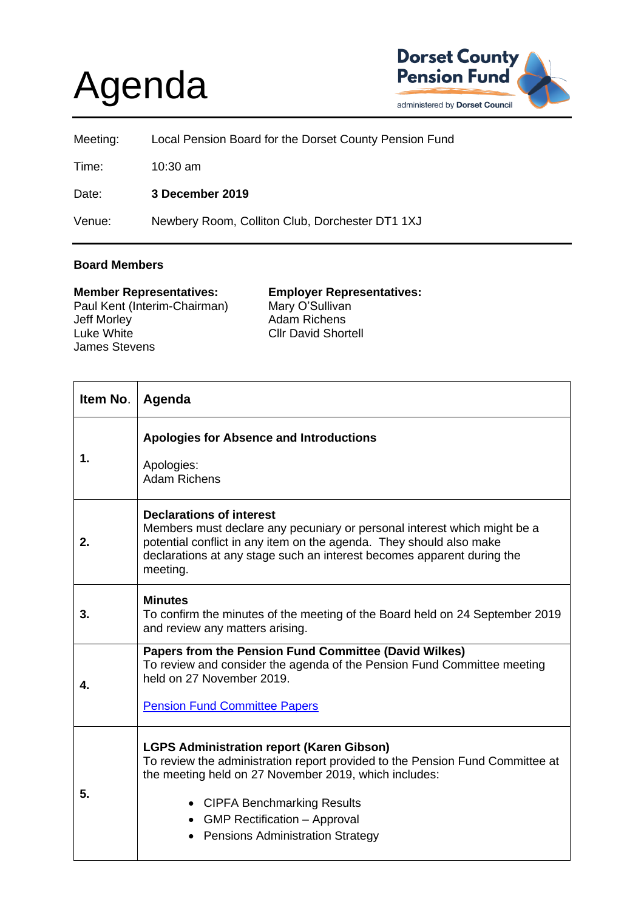## Agenda



| Meeting: | Local Pension Board for the Dorset County Pension Fund |
|----------|--------------------------------------------------------|
| Time:    | $10:30$ am                                             |
| Date:    | 3 December 2019                                        |
| Venue:   | Newbery Room, Colliton Club, Dorchester DT1 1XJ        |

## **Board Members**

| <b>Member Representatives:</b> | <b>Employer Representatives:</b> |
|--------------------------------|----------------------------------|
| Paul Kent (Interim-Chairman)   | Mary O'Sullivan                  |
| Jeff Morley                    | <b>Adam Richens</b>              |
| Luke White                     | <b>Cllr David Shortell</b>       |
| <b>James Stevens</b>           |                                  |

| Item No. | Agenda                                                                                                                                                                                                                                                                                                               |
|----------|----------------------------------------------------------------------------------------------------------------------------------------------------------------------------------------------------------------------------------------------------------------------------------------------------------------------|
| 1.       | <b>Apologies for Absence and Introductions</b><br>Apologies:<br><b>Adam Richens</b>                                                                                                                                                                                                                                  |
| 2.       | <b>Declarations of interest</b><br>Members must declare any pecuniary or personal interest which might be a<br>potential conflict in any item on the agenda. They should also make<br>declarations at any stage such an interest becomes apparent during the<br>meeting.                                             |
| 3.       | <b>Minutes</b><br>To confirm the minutes of the meeting of the Board held on 24 September 2019<br>and review any matters arising.                                                                                                                                                                                    |
| 4.       | Papers from the Pension Fund Committee (David Wilkes)<br>To review and consider the agenda of the Pension Fund Committee meeting<br>held on 27 November 2019.<br><b>Pension Fund Committee Papers</b>                                                                                                                |
| 5.       | <b>LGPS Administration report (Karen Gibson)</b><br>To review the administration report provided to the Pension Fund Committee at<br>the meeting held on 27 November 2019, which includes:<br>• CIPFA Benchmarking Results<br>• GMP Rectification – Approval<br><b>Pensions Administration Strategy</b><br>$\bullet$ |